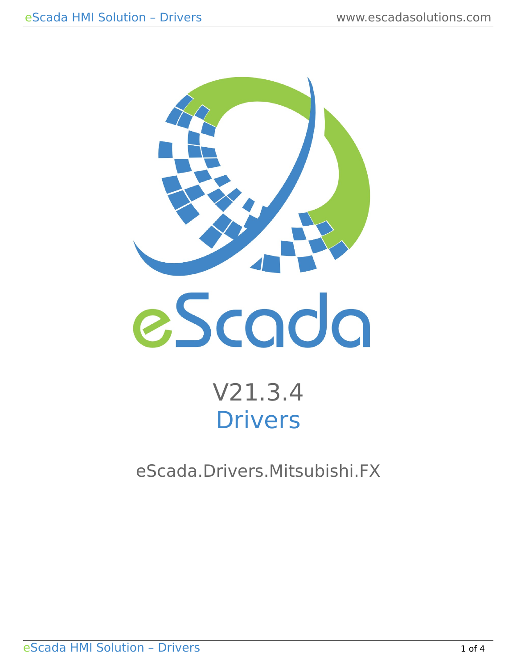

# V21.3.4 Drivers

eScada.Drivers.Mitsubishi.FX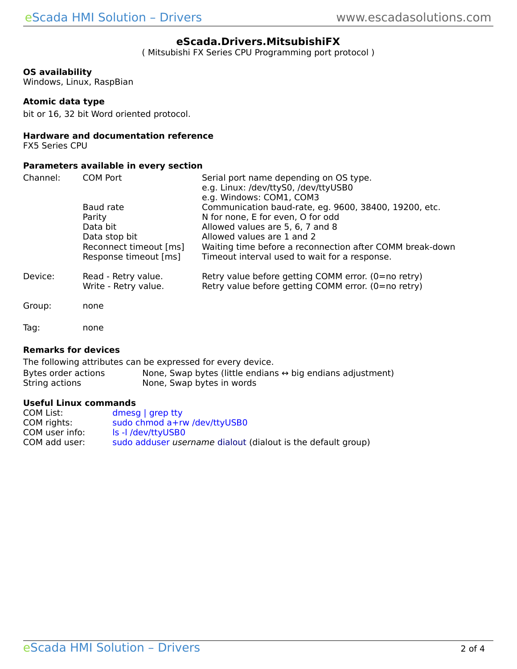### **eScada.Drivers.MitsubishiFX**

( Mitsubishi FX Series CPU Programming port protocol )

#### **OS availability**

Windows, Linux, RaspBian

#### **Atomic data type**

bit or 16, 32 bit Word oriented protocol.

#### **Hardware and documentation reference**

FX5 Series CPU

#### **Parameters available in every section**

| Channel: | <b>COM Port</b>                                                                                     | Serial port name depending on OS type.<br>e.g. Linux: /dev/ttyS0, /dev/ttyUSB0<br>e.g. Windows: COM1, COM3                                                                                                                                                                |
|----------|-----------------------------------------------------------------------------------------------------|---------------------------------------------------------------------------------------------------------------------------------------------------------------------------------------------------------------------------------------------------------------------------|
|          | Baud rate<br>Parity<br>Data bit<br>Data stop bit<br>Reconnect timeout [ms]<br>Response timeout [ms] | Communication baud-rate, eg. 9600, 38400, 19200, etc.<br>N for none, E for even, O for odd<br>Allowed values are 5, 6, 7 and 8<br>Allowed values are 1 and 2<br>Waiting time before a reconnection after COMM break-down<br>Timeout interval used to wait for a response. |
| Device:  | Read - Retry value.<br>Write - Retry value.                                                         | Retry value before getting COMM error. $(0=$ no retry)<br>Retry value before getting COMM error. (0=no retry)                                                                                                                                                             |
| Group:   | none                                                                                                |                                                                                                                                                                                                                                                                           |
| Tag:     | none                                                                                                |                                                                                                                                                                                                                                                                           |

#### **Remarks for devices**

The following attributes can be expressed for every device.<br>Bytes order actions Mone, Swap bytes (little endians Bytes order actions None, Swap bytes (little endians  $\leftrightarrow$  big endians adjustment)<br>String actions None, Swap bytes in words None, Swap bytes in words

#### **Useful Linux commands**

| COM List:      | dmesg $ $ grep tty                                                  |
|----------------|---------------------------------------------------------------------|
| COM rights:    | sudo chmod a+rw /dev/ttyUSB0                                        |
| COM user info: | Is -I /dev/ttyUSB0                                                  |
| COM add user:  | sudo adduser <i>username</i> dialout (dialout is the default group) |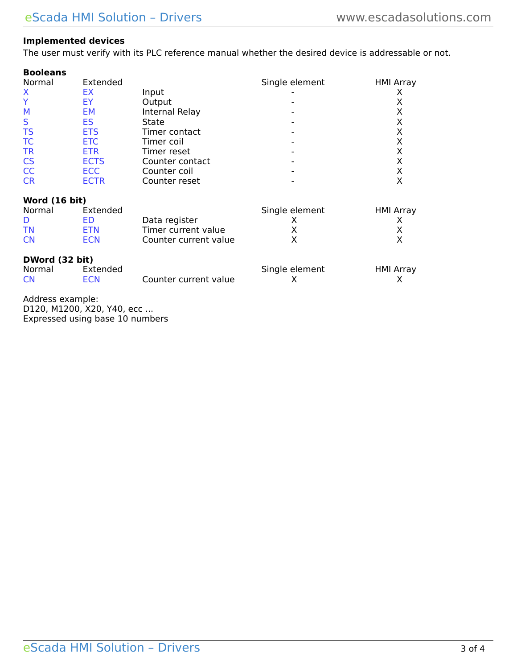## **Implemented devices**

The user must verify with its PLC reference manual whether the desired device is addressable or not.

| <b>Booleans</b> |             |                 |                |                  |
|-----------------|-------------|-----------------|----------------|------------------|
| Normal          | Extended    |                 | Single element | <b>HMI Array</b> |
| X               | ЕX          | Input           |                |                  |
|                 | EY          | Output          |                | х                |
| M               | EM          | Internal Relay  |                | Χ                |
| S               | ES          | State           |                | х                |
| <b>TS</b>       | <b>ETS</b>  | Timer contact   |                | Χ                |
| TC              | <b>ETC</b>  | Timer coil      |                | Χ                |
| <b>TR</b>       | <b>ETR</b>  | Timer reset     |                | Χ                |
| <b>CS</b>       | <b>ECTS</b> | Counter contact |                | х                |
| <b>CC</b>       | <b>ECC</b>  | Counter coil    |                | Х                |
| <b>CR</b>       | <b>ECTR</b> | Counter reset   |                | Х                |
|                 |             |                 |                |                  |

## **Word (16 bit)**

| Normal    | Extended   |                       | Single element | HMI Array |
|-----------|------------|-----------------------|----------------|-----------|
|           | FD         | Data register         |                |           |
| <b>TN</b> | ETN        | Timer current value   |                |           |
| <b>CN</b> | <b>ECN</b> | Counter current value |                |           |

## **DWord (32 bit)**

| Normal    | Extended |                       | Single element | <b>HMI Array</b> |
|-----------|----------|-----------------------|----------------|------------------|
| <b>CN</b> | ECN      | Counter current value |                |                  |

Address example: D120, M1200, X20, Y40, ecc ... Expressed using base 10 numbers